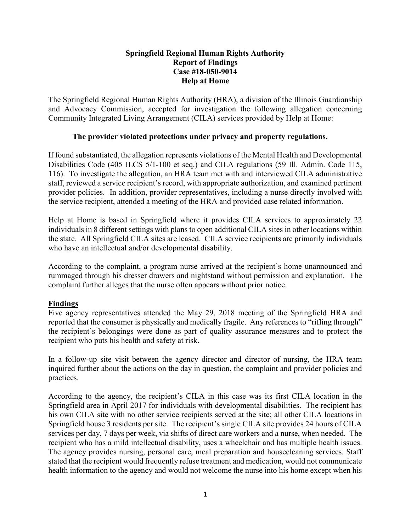## Springfield Regional Human Rights Authority Report of Findings Case #18-050-9014 Help at Home

The Springfield Regional Human Rights Authority (HRA), a division of the Illinois Guardianship and Advocacy Commission, accepted for investigation the following allegation concerning Community Integrated Living Arrangement (CILA) services provided by Help at Home:

# The provider violated protections under privacy and property regulations.

If found substantiated, the allegation represents violations of the Mental Health and Developmental Disabilities Code (405 ILCS 5/1-100 et seq.) and CILA regulations (59 Ill. Admin. Code 115, 116). To investigate the allegation, an HRA team met with and interviewed CILA administrative staff, reviewed a service recipient's record, with appropriate authorization, and examined pertinent provider policies. In addition, provider representatives, including a nurse directly involved with the service recipient, attended a meeting of the HRA and provided case related information.

Help at Home is based in Springfield where it provides CILA services to approximately 22 individuals in 8 different settings with plans to open additional CILA sites in other locations within the state. All Springfield CILA sites are leased. CILA service recipients are primarily individuals who have an intellectual and/or developmental disability.

According to the complaint, a program nurse arrived at the recipient's home unannounced and rummaged through his dresser drawers and nightstand without permission and explanation. The complaint further alleges that the nurse often appears without prior notice.

# Findings

Five agency representatives attended the May 29, 2018 meeting of the Springfield HRA and reported that the consumer is physically and medically fragile. Any references to "rifling through" the recipient's belongings were done as part of quality assurance measures and to protect the recipient who puts his health and safety at risk.

In a follow-up site visit between the agency director and director of nursing, the HRA team inquired further about the actions on the day in question, the complaint and provider policies and practices.

According to the agency, the recipient's CILA in this case was its first CILA location in the Springfield area in April 2017 for individuals with developmental disabilities. The recipient has his own CILA site with no other service recipients served at the site; all other CILA locations in Springfield house 3 residents per site. The recipient's single CILA site provides 24 hours of CILA services per day, 7 days per week, via shifts of direct care workers and a nurse, when needed. The recipient who has a mild intellectual disability, uses a wheelchair and has multiple health issues. The agency provides nursing, personal care, meal preparation and housecleaning services. Staff stated that the recipient would frequently refuse treatment and medication, would not communicate health information to the agency and would not welcome the nurse into his home except when his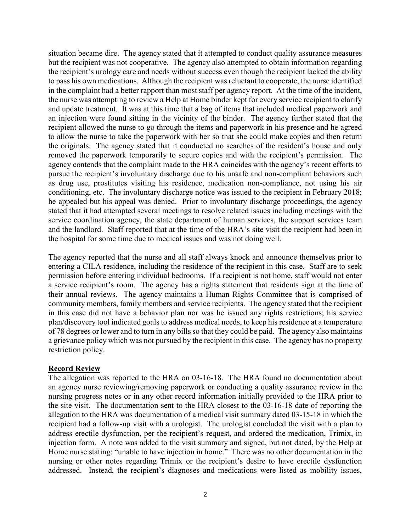situation became dire. The agency stated that it attempted to conduct quality assurance measures but the recipient was not cooperative. The agency also attempted to obtain information regarding the recipient's urology care and needs without success even though the recipient lacked the ability to pass his own medications. Although the recipient was reluctant to cooperate, the nurse identified in the complaint had a better rapport than most staff per agency report. At the time of the incident, the nurse was attempting to review a Help at Home binder kept for every service recipient to clarify and update treatment. It was at this time that a bag of items that included medical paperwork and an injection were found sitting in the vicinity of the binder. The agency further stated that the recipient allowed the nurse to go through the items and paperwork in his presence and he agreed to allow the nurse to take the paperwork with her so that she could make copies and then return the originals. The agency stated that it conducted no searches of the resident's house and only removed the paperwork temporarily to secure copies and with the recipient's permission. The agency contends that the complaint made to the HRA coincides with the agency's recent efforts to pursue the recipient's involuntary discharge due to his unsafe and non-compliant behaviors such as drug use, prostitutes visiting his residence, medication non-compliance, not using his air conditioning, etc. The involuntary discharge notice was issued to the recipient in February 2018; he appealed but his appeal was denied. Prior to involuntary discharge proceedings, the agency stated that it had attempted several meetings to resolve related issues including meetings with the service coordination agency, the state department of human services, the support services team and the landlord. Staff reported that at the time of the HRA's site visit the recipient had been in the hospital for some time due to medical issues and was not doing well.

The agency reported that the nurse and all staff always knock and announce themselves prior to entering a CILA residence, including the residence of the recipient in this case. Staff are to seek permission before entering individual bedrooms. If a recipient is not home, staff would not enter a service recipient's room. The agency has a rights statement that residents sign at the time of their annual reviews. The agency maintains a Human Rights Committee that is comprised of community members, family members and service recipients. The agency stated that the recipient in this case did not have a behavior plan nor was he issued any rights restrictions; his service plan/discovery tool indicated goals to address medical needs, to keep his residence at a temperature of 78 degrees or lower and to turn in any bills so that they could be paid. The agency also maintains a grievance policy which was not pursued by the recipient in this case. The agency has no property restriction policy.

### Record Review

The allegation was reported to the HRA on 03-16-18. The HRA found no documentation about an agency nurse reviewing/removing paperwork or conducting a quality assurance review in the nursing progress notes or in any other record information initially provided to the HRA prior to the site visit. The documentation sent to the HRA closest to the 03-16-18 date of reporting the allegation to the HRA was documentation of a medical visit summary dated 03-15-18 in which the recipient had a follow-up visit with a urologist. The urologist concluded the visit with a plan to address erectile dysfunction, per the recipient's request, and ordered the medication, Trimix, in injection form. A note was added to the visit summary and signed, but not dated, by the Help at Home nurse stating: "unable to have injection in home." There was no other documentation in the nursing or other notes regarding Trimix or the recipient's desire to have erectile dysfunction addressed. Instead, the recipient's diagnoses and medications were listed as mobility issues,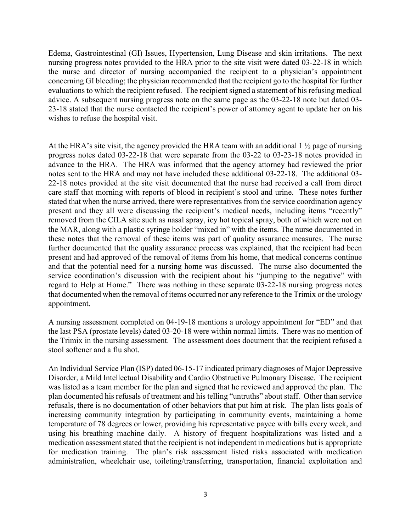Edema, Gastrointestinal (GI) Issues, Hypertension, Lung Disease and skin irritations. The next nursing progress notes provided to the HRA prior to the site visit were dated 03-22-18 in which the nurse and director of nursing accompanied the recipient to a physician's appointment concerning GI bleeding; the physician recommended that the recipient go to the hospital for further evaluations to which the recipient refused. The recipient signed a statement of his refusing medical advice. A subsequent nursing progress note on the same page as the 03-22-18 note but dated 03- 23-18 stated that the nurse contacted the recipient's power of attorney agent to update her on his wishes to refuse the hospital visit.

At the HRA's site visit, the agency provided the HRA team with an additional 1 ½ page of nursing progress notes dated 03-22-18 that were separate from the 03-22 to 03-23-18 notes provided in advance to the HRA. The HRA was informed that the agency attorney had reviewed the prior notes sent to the HRA and may not have included these additional 03-22-18. The additional 03- 22-18 notes provided at the site visit documented that the nurse had received a call from direct care staff that morning with reports of blood in recipient's stool and urine. These notes further stated that when the nurse arrived, there were representatives from the service coordination agency present and they all were discussing the recipient's medical needs, including items "recently" removed from the CILA site such as nasal spray, icy hot topical spray, both of which were not on the MAR, along with a plastic syringe holder "mixed in" with the items. The nurse documented in these notes that the removal of these items was part of quality assurance measures. The nurse further documented that the quality assurance process was explained, that the recipient had been present and had approved of the removal of items from his home, that medical concerns continue and that the potential need for a nursing home was discussed. The nurse also documented the service coordination's discussion with the recipient about his "jumping to the negative" with regard to Help at Home." There was nothing in these separate 03-22-18 nursing progress notes that documented when the removal of items occurred nor any reference to the Trimix or the urology appointment.

A nursing assessment completed on 04-19-18 mentions a urology appointment for "ED" and that the last PSA (prostate levels) dated 03-20-18 were within normal limits. There was no mention of the Trimix in the nursing assessment. The assessment does document that the recipient refused a stool softener and a flu shot.

An Individual Service Plan (ISP) dated 06-15-17 indicated primary diagnoses of Major Depressive Disorder, a Mild Intellectual Disability and Cardio Obstructive Pulmonary Disease. The recipient was listed as a team member for the plan and signed that he reviewed and approved the plan. The plan documented his refusals of treatment and his telling "untruths" about staff. Other than service refusals, there is no documentation of other behaviors that put him at risk. The plan lists goals of increasing community integration by participating in community events, maintaining a home temperature of 78 degrees or lower, providing his representative payee with bills every week, and using his breathing machine daily. A history of frequent hospitalizations was listed and a medication assessment stated that the recipient is not independent in medications but is appropriate for medication training. The plan's risk assessment listed risks associated with medication administration, wheelchair use, toileting/transferring, transportation, financial exploitation and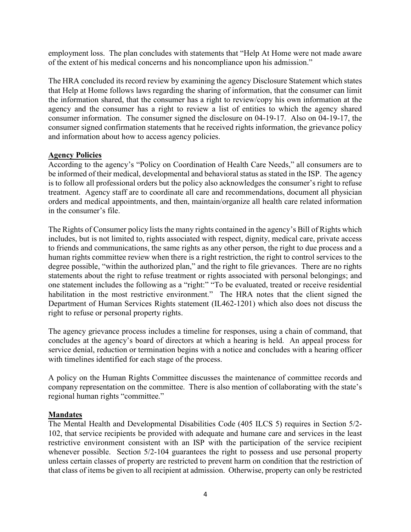employment loss. The plan concludes with statements that "Help At Home were not made aware of the extent of his medical concerns and his noncompliance upon his admission."

The HRA concluded its record review by examining the agency Disclosure Statement which states that Help at Home follows laws regarding the sharing of information, that the consumer can limit the information shared, that the consumer has a right to review/copy his own information at the agency and the consumer has a right to review a list of entities to which the agency shared consumer information. The consumer signed the disclosure on 04-19-17. Also on 04-19-17, the consumer signed confirmation statements that he received rights information, the grievance policy and information about how to access agency policies.

### Agency Policies

According to the agency's "Policy on Coordination of Health Care Needs," all consumers are to be informed of their medical, developmental and behavioral status as stated in the ISP. The agency is to follow all professional orders but the policy also acknowledges the consumer's right to refuse treatment. Agency staff are to coordinate all care and recommendations, document all physician orders and medical appointments, and then, maintain/organize all health care related information in the consumer's file.

The Rights of Consumer policy lists the many rights contained in the agency's Bill of Rights which includes, but is not limited to, rights associated with respect, dignity, medical care, private access to friends and communications, the same rights as any other person, the right to due process and a human rights committee review when there is a right restriction, the right to control services to the degree possible, "within the authorized plan," and the right to file grievances. There are no rights statements about the right to refuse treatment or rights associated with personal belongings; and one statement includes the following as a "right:" "To be evaluated, treated or receive residential habilitation in the most restrictive environment." The HRA notes that the client signed the Department of Human Services Rights statement (IL462-1201) which also does not discuss the right to refuse or personal property rights.

The agency grievance process includes a timeline for responses, using a chain of command, that concludes at the agency's board of directors at which a hearing is held. An appeal process for service denial, reduction or termination begins with a notice and concludes with a hearing officer with timelines identified for each stage of the process.

A policy on the Human Rights Committee discusses the maintenance of committee records and company representation on the committee. There is also mention of collaborating with the state's regional human rights "committee."

### **Mandates**

The Mental Health and Developmental Disabilities Code (405 ILCS 5) requires in Section 5/2- 102, that service recipients be provided with adequate and humane care and services in the least restrictive environment consistent with an ISP with the participation of the service recipient whenever possible. Section 5/2-104 guarantees the right to possess and use personal property unless certain classes of property are restricted to prevent harm on condition that the restriction of that class of items be given to all recipient at admission. Otherwise, property can only be restricted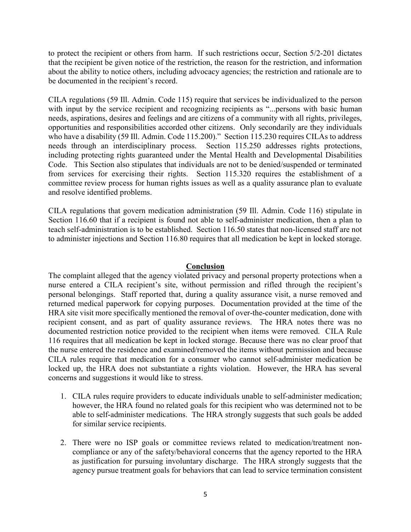to protect the recipient or others from harm. If such restrictions occur, Section 5/2-201 dictates that the recipient be given notice of the restriction, the reason for the restriction, and information about the ability to notice others, including advocacy agencies; the restriction and rationale are to be documented in the recipient's record.

CILA regulations (59 Ill. Admin. Code 115) require that services be individualized to the person with input by the service recipient and recognizing recipients as "...persons with basic human needs, aspirations, desires and feelings and are citizens of a community with all rights, privileges, opportunities and responsibilities accorded other citizens. Only secondarily are they individuals who have a disability (59 Ill. Admin. Code 115.200)." Section 115.230 requires CILAs to address needs through an interdisciplinary process. Section 115.250 addresses rights protections, including protecting rights guaranteed under the Mental Health and Developmental Disabilities Code. This Section also stipulates that individuals are not to be denied/suspended or terminated from services for exercising their rights. Section 115.320 requires the establishment of a committee review process for human rights issues as well as a quality assurance plan to evaluate and resolve identified problems.

CILA regulations that govern medication administration (59 Ill. Admin. Code 116) stipulate in Section 116.60 that if a recipient is found not able to self-administer medication, then a plan to teach self-administration is to be established. Section 116.50 states that non-licensed staff are not to administer injections and Section 116.80 requires that all medication be kept in locked storage.

#### Conclusion

The complaint alleged that the agency violated privacy and personal property protections when a nurse entered a CILA recipient's site, without permission and rifled through the recipient's personal belongings. Staff reported that, during a quality assurance visit, a nurse removed and returned medical paperwork for copying purposes. Documentation provided at the time of the HRA site visit more specifically mentioned the removal of over-the-counter medication, done with recipient consent, and as part of quality assurance reviews. The HRA notes there was no documented restriction notice provided to the recipient when items were removed. CILA Rule 116 requires that all medication be kept in locked storage. Because there was no clear proof that the nurse entered the residence and examined/removed the items without permission and because CILA rules require that medication for a consumer who cannot self-administer medication be locked up, the HRA does not substantiate a rights violation. However, the HRA has several concerns and suggestions it would like to stress.

- 1. CILA rules require providers to educate individuals unable to self-administer medication; however, the HRA found no related goals for this recipient who was determined not to be able to self-administer medications. The HRA strongly suggests that such goals be added for similar service recipients.
- 2. There were no ISP goals or committee reviews related to medication/treatment noncompliance or any of the safety/behavioral concerns that the agency reported to the HRA as justification for pursuing involuntary discharge. The HRA strongly suggests that the agency pursue treatment goals for behaviors that can lead to service termination consistent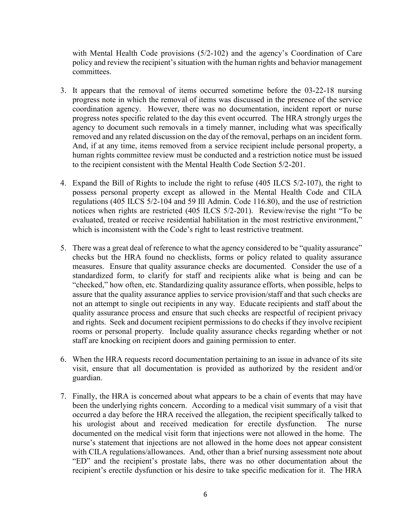with Mental Health Code provisions (5/2-102) and the agency's Coordination of Care policy and review the recipient's situation with the human rights and behavior management committees.

- 3. It appears that the removal of items occurred sometime before the 03-22-18 nursing progress note in which the removal of items was discussed in the presence of the service coordination agency. However, there was no documentation, incident report or nurse progress notes specific related to the day this event occurred. The HRA strongly urges the agency to document such removals in a timely manner, including what was specifically removed and any related discussion on the day of the removal, perhaps on an incident form. And, if at any time, items removed from a service recipient include personal property, a human rights committee review must be conducted and a restriction notice must be issued to the recipient consistent with the Mental Health Code Section 5/2-201.
- 4. Expand the Bill of Rights to include the right to refuse (405 ILCS 5/2-107), the right to possess personal property except as allowed in the Mental Health Code and CILA regulations (405 ILCS 5/2-104 and 59 Ill Admin. Code 116.80), and the use of restriction notices when rights are restricted (405 ILCS 5/2-201). Review/revise the right "To be evaluated, treated or receive residential habilitation in the most restrictive environment," which is inconsistent with the Code's right to least restrictive treatment.
- 5. There was a great deal of reference to what the agency considered to be "quality assurance" checks but the HRA found no checklists, forms or policy related to quality assurance measures. Ensure that quality assurance checks are documented. Consider the use of a standardized form, to clarify for staff and recipients alike what is being and can be "checked," how often, etc. Standardizing quality assurance efforts, when possible, helps to assure that the quality assurance applies to service provision/staff and that such checks are not an attempt to single out recipients in any way. Educate recipients and staff about the quality assurance process and ensure that such checks are respectful of recipient privacy and rights. Seek and document recipient permissions to do checks if they involve recipient rooms or personal property. Include quality assurance checks regarding whether or not staff are knocking on recipient doors and gaining permission to enter.
- 6. When the HRA requests record documentation pertaining to an issue in advance of its site visit, ensure that all documentation is provided as authorized by the resident and/or guardian.
- 7. Finally, the HRA is concerned about what appears to be a chain of events that may have been the underlying rights concern. According to a medical visit summary of a visit that occurred a day before the HRA received the allegation, the recipient specifically talked to his urologist about and received medication for erectile dysfunction. The nurse documented on the medical visit form that injections were not allowed in the home. The nurse's statement that injections are not allowed in the home does not appear consistent with CILA regulations/allowances. And, other than a brief nursing assessment note about "ED" and the recipient's prostate labs, there was no other documentation about the recipient's erectile dysfunction or his desire to take specific medication for it. The HRA